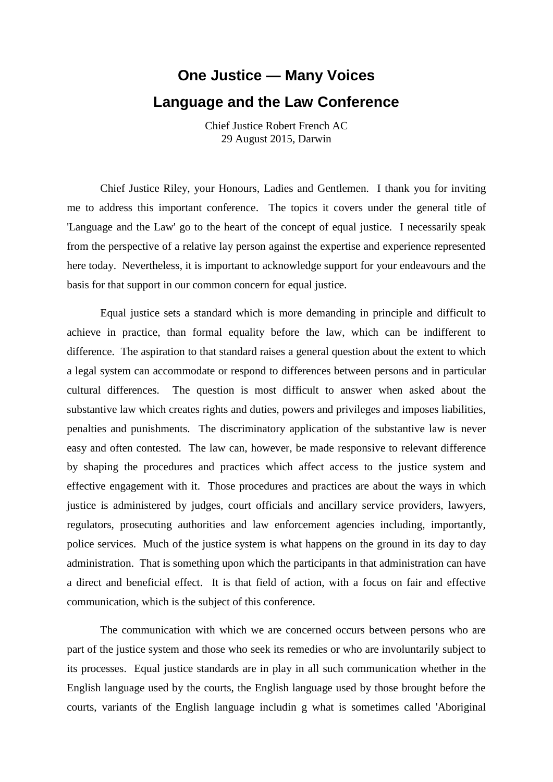## **One Justice — Many Voices Language and the Law Conference**

Chief Justice Robert French AC 29 August 2015, Darwin

Chief Justice Riley, your Honours, Ladies and Gentlemen. I thank you for inviting me to address this important conference. The topics it covers under the general title of 'Language and the Law' go to the heart of the concept of equal justice. I necessarily speak from the perspective of a relative lay person against the expertise and experience represented here today. Nevertheless, it is important to acknowledge support for your endeavours and the basis for that support in our common concern for equal justice.

Equal justice sets a standard which is more demanding in principle and difficult to achieve in practice, than formal equality before the law, which can be indifferent to difference. The aspiration to that standard raises a general question about the extent to which a legal system can accommodate or respond to differences between persons and in particular cultural differences. The question is most difficult to answer when asked about the substantive law which creates rights and duties, powers and privileges and imposes liabilities, penalties and punishments. The discriminatory application of the substantive law is never easy and often contested. The law can, however, be made responsive to relevant difference by shaping the procedures and practices which affect access to the justice system and effective engagement with it. Those procedures and practices are about the ways in which justice is administered by judges, court officials and ancillary service providers, lawyers, regulators, prosecuting authorities and law enforcement agencies including, importantly, police services. Much of the justice system is what happens on the ground in its day to day administration. That is something upon which the participants in that administration can have a direct and beneficial effect. It is that field of action, with a focus on fair and effective communication, which is the subject of this conference.

The communication with which we are concerned occurs between persons who are part of the justice system and those who seek its remedies or who are involuntarily subject to its processes. Equal justice standards are in play in all such communication whether in the English language used by the courts, the English language used by those brought before the courts, variants of the English language includin g what is sometimes called 'Aboriginal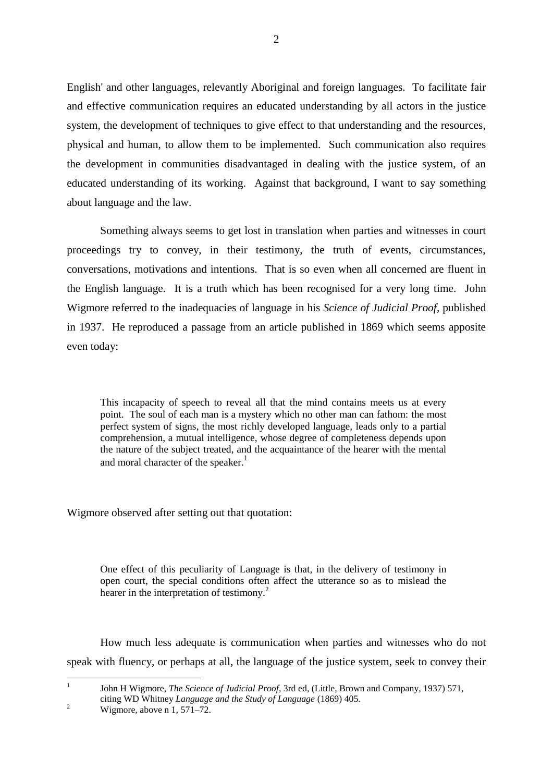English' and other languages, relevantly Aboriginal and foreign languages. To facilitate fair and effective communication requires an educated understanding by all actors in the justice system, the development of techniques to give effect to that understanding and the resources, physical and human, to allow them to be implemented. Such communication also requires the development in communities disadvantaged in dealing with the justice system, of an educated understanding of its working. Against that background, I want to say something about language and the law.

Something always seems to get lost in translation when parties and witnesses in court proceedings try to convey, in their testimony, the truth of events, circumstances, conversations, motivations and intentions. That is so even when all concerned are fluent in the English language. It is a truth which has been recognised for a very long time. John Wigmore referred to the inadequacies of language in his *Science of Judicial Proof*, published in 1937. He reproduced a passage from an article published in 1869 which seems apposite even today:

This incapacity of speech to reveal all that the mind contains meets us at every point. The soul of each man is a mystery which no other man can fathom: the most perfect system of signs, the most richly developed language, leads only to a partial comprehension, a mutual intelligence, whose degree of completeness depends upon the nature of the subject treated, and the acquaintance of the hearer with the mental and moral character of the speaker.<sup>1</sup>

Wigmore observed after setting out that quotation:

One effect of this peculiarity of Language is that, in the delivery of testimony in open court, the special conditions often affect the utterance so as to mislead the hearer in the interpretation of testimony.<sup>2</sup>

How much less adequate is communication when parties and witnesses who do not speak with fluency, or perhaps at all, the language of the justice system, seek to convey their

John H Wigmore, *The Science of Judicial Proof*, 3rd ed, (Little, Brown and Company, 1937) 571, citing WD Whitney *Language and the Study of Language* (1869) 405.

 $\frac{1}{1}$ 

 $\frac{2}{\text{Wigmore, above n}}$  1, 571–72.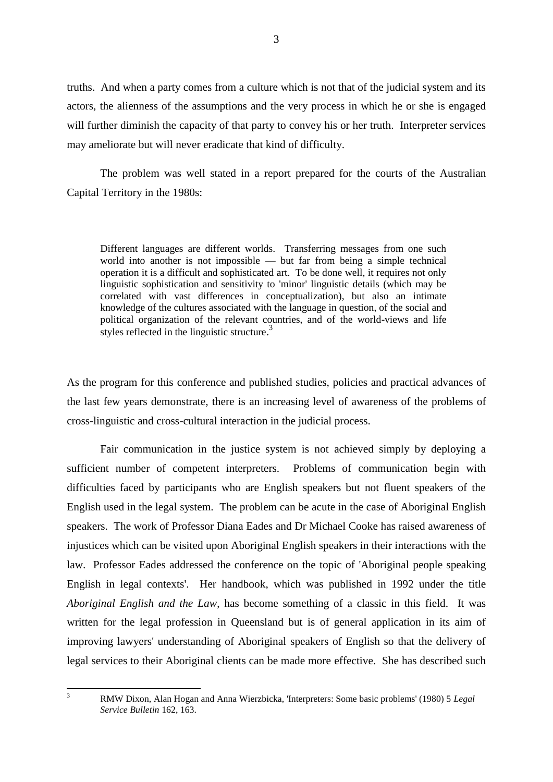truths. And when a party comes from a culture which is not that of the judicial system and its actors, the alienness of the assumptions and the very process in which he or she is engaged will further diminish the capacity of that party to convey his or her truth. Interpreter services may ameliorate but will never eradicate that kind of difficulty.

The problem was well stated in a report prepared for the courts of the Australian Capital Territory in the 1980s:

Different languages are different worlds. Transferring messages from one such world into another is not impossible — but far from being a simple technical operation it is a difficult and sophisticated art. To be done well, it requires not only linguistic sophistication and sensitivity to 'minor' linguistic details (which may be correlated with vast differences in conceptualization), but also an intimate knowledge of the cultures associated with the language in question, of the social and political organization of the relevant countries, and of the world-views and life styles reflected in the linguistic structure.<sup>3</sup>

As the program for this conference and published studies, policies and practical advances of the last few years demonstrate, there is an increasing level of awareness of the problems of cross-linguistic and cross-cultural interaction in the judicial process.

Fair communication in the justice system is not achieved simply by deploying a sufficient number of competent interpreters. Problems of communication begin with difficulties faced by participants who are English speakers but not fluent speakers of the English used in the legal system. The problem can be acute in the case of Aboriginal English speakers. The work of Professor Diana Eades and Dr Michael Cooke has raised awareness of injustices which can be visited upon Aboriginal English speakers in their interactions with the law. Professor Eades addressed the conference on the topic of 'Aboriginal people speaking English in legal contexts'. Her handbook, which was published in 1992 under the title *Aboriginal English and the Law*, has become something of a classic in this field. It was written for the legal profession in Queensland but is of general application in its aim of improving lawyers' understanding of Aboriginal speakers of English so that the delivery of legal services to their Aboriginal clients can be made more effective. She has described such

 $\overline{3}$ 

<sup>3</sup> RMW Dixon, Alan Hogan and Anna Wierzbicka, 'Interpreters: Some basic problems' (1980) 5 *Legal Service Bulletin* 162, 163.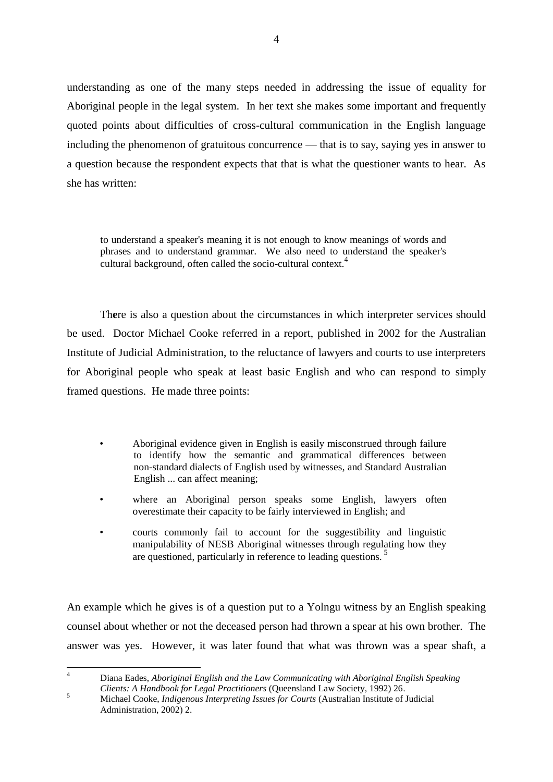understanding as one of the many steps needed in addressing the issue of equality for Aboriginal people in the legal system. In her text she makes some important and frequently quoted points about difficulties of cross-cultural communication in the English language including the phenomenon of gratuitous concurrence — that is to say, saying yes in answer to a question because the respondent expects that that is what the questioner wants to hear. As she has written:

to understand a speaker's meaning it is not enough to know meanings of words and phrases and to understand grammar. We also need to understand the speaker's cultural background, often called the socio-cultural context.<sup>4</sup>

There is also a question about the circumstances in which interpreter services should be used. Doctor Michael Cooke referred in a report, published in 2002 for the Australian Institute of Judicial Administration, to the reluctance of lawyers and courts to use interpreters for Aboriginal people who speak at least basic English and who can respond to simply framed questions. He made three points:

- Aboriginal evidence given in English is easily misconstrued through failure to identify how the semantic and grammatical differences between non-standard dialects of English used by witnesses, and Standard Australian English ... can affect meaning;
- where an Aboriginal person speaks some English, lawyers often overestimate their capacity to be fairly interviewed in English; and
- courts commonly fail to account for the suggestibility and linguistic manipulability of NESB Aboriginal witnesses through regulating how they are questioned, particularly in reference to leading questions.<sup>5</sup>

An example which he gives is of a question put to a Yolngu witness by an English speaking counsel about whether or not the deceased person had thrown a spear at his own brother. The answer was yes. However, it was later found that what was thrown was a spear shaft, a

 $\overline{4}$ <sup>4</sup> Diana Eades, *Aboriginal English and the Law Communicating with Aboriginal English Speaking Clients: A Handbook for Legal Practitioners* (Queensland Law Society, 1992) 26.

<sup>5</sup> Michael Cooke, *Indigenous Interpreting Issues for Courts* (Australian Institute of Judicial Administration, 2002) 2.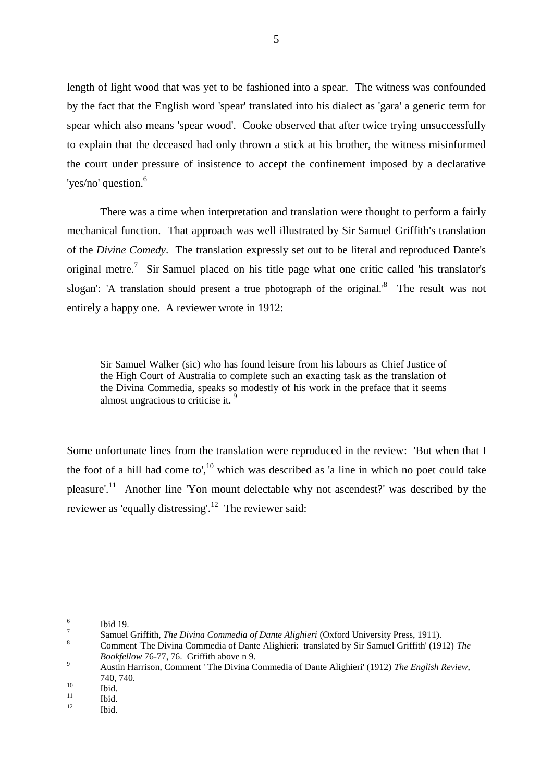length of light wood that was yet to be fashioned into a spear. The witness was confounded by the fact that the English word 'spear' translated into his dialect as 'gara' a generic term for spear which also means 'spear wood'. Cooke observed that after twice trying unsuccessfully to explain that the deceased had only thrown a stick at his brother, the witness misinformed the court under pressure of insistence to accept the confinement imposed by a declarative 'yes/no' question.<sup>6</sup>

There was a time when interpretation and translation were thought to perform a fairly mechanical function. That approach was well illustrated by Sir Samuel Griffith's translation of the *Divine Comedy*. The translation expressly set out to be literal and reproduced Dante's original metre.<sup>7</sup> Sir Samuel placed on his title page what one critic called 'his translator's slogan': 'A translation should present a true photograph of the original. $\delta$  The result was not entirely a happy one. A reviewer wrote in 1912:

Sir Samuel Walker (sic) who has found leisure from his labours as Chief Justice of the High Court of Australia to complete such an exacting task as the translation of the Divina Commedia, speaks so modestly of his work in the preface that it seems almost ungracious to criticise it. <sup>9</sup>

Some unfortunate lines from the translation were reproduced in the review: 'But when that I the foot of a hill had come to', $^{10}$  which was described as 'a line in which no poet could take pleasure'.<sup>11</sup> Another line 'Yon mount delectable why not ascendest?' was described by the reviewer as 'equally distressing'.<sup>12</sup> The reviewer said:

 $\frac{1}{6}$ Ibid 19.

<sup>7</sup> Samuel Griffith, *The Divina Commedia of Dante Alighieri* (Oxford University Press, 1911).

<sup>8</sup> Comment 'The Divina Commedia of Dante Alighieri: translated by Sir Samuel Griffith' (1912) *The Bookfellow* 76-77, 76. Griffith above n 9.

<sup>9</sup> Austin Harrison, Comment ' The Divina Commedia of Dante Alighieri' (1912) *The English Review*, 740, 740.

 $\begin{array}{cc}\n 10 \\
11 \\
\end{array}$  **Ibid.** 

 $\frac{11}{12}$  Ibid.

Ibid.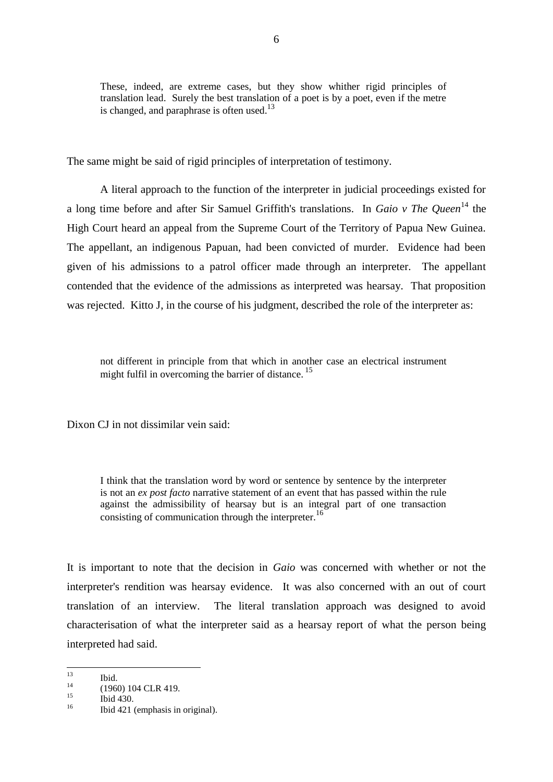These, indeed, are extreme cases, but they show whither rigid principles of translation lead. Surely the best translation of a poet is by a poet, even if the metre is changed, and paraphrase is often used.<sup>13</sup>

The same might be said of rigid principles of interpretation of testimony.

A literal approach to the function of the interpreter in judicial proceedings existed for a long time before and after Sir Samuel Griffith's translations. In *Gaio v The Queen*<sup>14</sup> the High Court heard an appeal from the Supreme Court of the Territory of Papua New Guinea. The appellant, an indigenous Papuan, had been convicted of murder. Evidence had been given of his admissions to a patrol officer made through an interpreter. The appellant contended that the evidence of the admissions as interpreted was hearsay. That proposition was rejected. Kitto J, in the course of his judgment, described the role of the interpreter as:

not different in principle from that which in another case an electrical instrument might fulfil in overcoming the barrier of distance.<sup>15</sup>

Dixon CJ in not dissimilar vein said:

I think that the translation word by word or sentence by sentence by the interpreter is not an *ex post facto* narrative statement of an event that has passed within the rule against the admissibility of hearsay but is an integral part of one transaction consisting of communication through the interpreter.<sup>16</sup>

It is important to note that the decision in *Gaio* was concerned with whether or not the interpreter's rendition was hearsay evidence. It was also concerned with an out of court translation of an interview. The literal translation approach was designed to avoid characterisation of what the interpreter said as a hearsay report of what the person being interpreted had said.

 $13$  $\frac{13}{14}$  Ibid.

<sup>&</sup>lt;sup>14</sup> (1960) 104 CLR 419.

 $\frac{15}{16}$  Ibid 430.

<sup>16</sup> Ibid 421 (emphasis in original).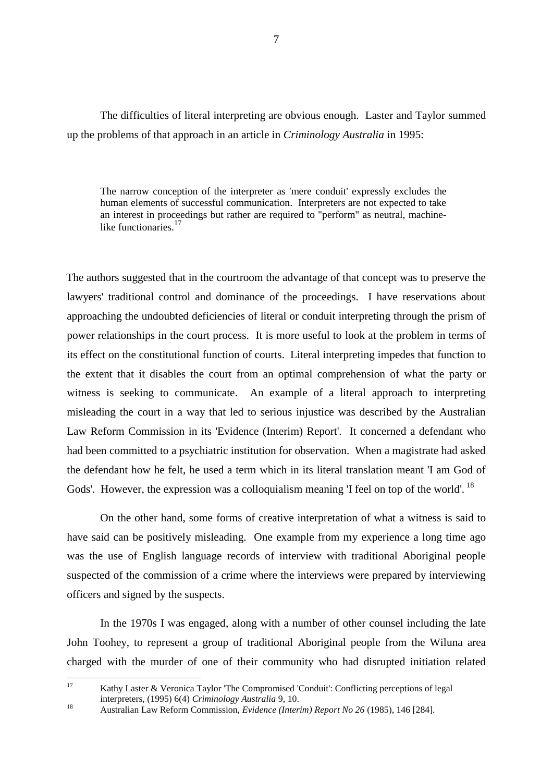The difficulties of literal interpreting are obvious enough. Laster and Taylor summed up the problems of that approach in an article in *Criminology Australia* in 1995:

The narrow conception of the interpreter as 'mere conduit' expressly excludes the human elements of successful communication. Interpreters are not expected to take an interest in proceedings but rather are required to "perform" as neutral, machinelike functionaries<sup>17</sup>

The authors suggested that in the courtroom the advantage of that concept was to preserve the lawyers' traditional control and dominance of the proceedings. I have reservations about approaching the undoubted deficiencies of literal or conduit interpreting through the prism of power relationships in the court process. It is more useful to look at the problem in terms of its effect on the constitutional function of courts. Literal interpreting impedes that function to the extent that it disables the court from an optimal comprehension of what the party or witness is seeking to communicate. An example of a literal approach to interpreting misleading the court in a way that led to serious injustice was described by the Australian Law Reform Commission in its 'Evidence (Interim) Report'. It concerned a defendant who had been committed to a psychiatric institution for observation. When a magistrate had asked the defendant how he felt, he used a term which in its literal translation meant 'I am God of Gods'. However, the expression was a colloquialism meaning 'I feel on top of the world'. <sup>18</sup>

On the other hand, some forms of creative interpretation of what a witness is said to have said can be positively misleading. One example from my experience a long time ago was the use of English language records of interview with traditional Aboriginal people suspected of the commission of a crime where the interviews were prepared by interviewing officers and signed by the suspects.

In the 1970s I was engaged, along with a number of other counsel including the late John Toohey, to represent a group of traditional Aboriginal people from the Wiluna area charged with the murder of one of their community who had disrupted initiation related

 $17$ Kathy Laster & Veronica Taylor 'The Compromised 'Conduit': Conflicting perceptions of legal interpreters, (1995) 6(4) *Criminology Australia* 9, 10.

<sup>18</sup> Australian Law Reform Commission, *Evidence (Interim) Report No 26* (1985), 146 [284].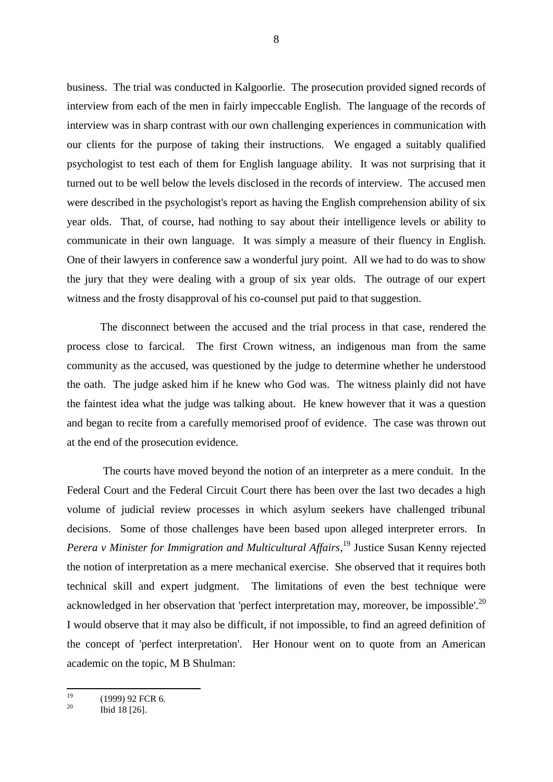business. The trial was conducted in Kalgoorlie. The prosecution provided signed records of interview from each of the men in fairly impeccable English. The language of the records of interview was in sharp contrast with our own challenging experiences in communication with our clients for the purpose of taking their instructions. We engaged a suitably qualified psychologist to test each of them for English language ability. It was not surprising that it turned out to be well below the levels disclosed in the records of interview. The accused men were described in the psychologist's report as having the English comprehension ability of six year olds. That, of course, had nothing to say about their intelligence levels or ability to communicate in their own language. It was simply a measure of their fluency in English. One of their lawyers in conference saw a wonderful jury point. All we had to do was to show the jury that they were dealing with a group of six year olds. The outrage of our expert witness and the frosty disapproval of his co-counsel put paid to that suggestion.

The disconnect between the accused and the trial process in that case, rendered the process close to farcical. The first Crown witness, an indigenous man from the same community as the accused, was questioned by the judge to determine whether he understood the oath. The judge asked him if he knew who God was. The witness plainly did not have the faintest idea what the judge was talking about. He knew however that it was a question and began to recite from a carefully memorised proof of evidence. The case was thrown out at the end of the prosecution evidence.

The courts have moved beyond the notion of an interpreter as a mere conduit. In the Federal Court and the Federal Circuit Court there has been over the last two decades a high volume of judicial review processes in which asylum seekers have challenged tribunal decisions. Some of those challenges have been based upon alleged interpreter errors. In *Perera v Minister for Immigration and Multicultural Affairs*, <sup>19</sup> Justice Susan Kenny rejected the notion of interpretation as a mere mechanical exercise. She observed that it requires both technical skill and expert judgment. The limitations of even the best technique were acknowledged in her observation that 'perfect interpretation may, moreover, be impossible'.<sup>20</sup> I would observe that it may also be difficult, if not impossible, to find an agreed definition of the concept of 'perfect interpretation'. Her Honour went on to quote from an American academic on the topic, M B Shulman:

 $10$  $^{19}$  (1999) 92 FCR 6.

Ibid 18 [26].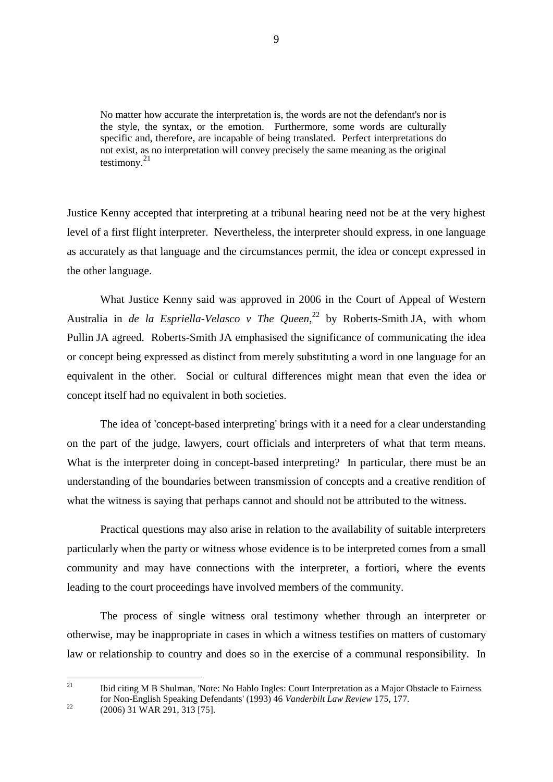No matter how accurate the interpretation is, the words are not the defendant's nor is the style, the syntax, or the emotion. Furthermore, some words are culturally specific and, therefore, are incapable of being translated. Perfect interpretations do not exist, as no interpretation will convey precisely the same meaning as the original testimony.<sup>21</sup>

Justice Kenny accepted that interpreting at a tribunal hearing need not be at the very highest level of a first flight interpreter. Nevertheless, the interpreter should express, in one language as accurately as that language and the circumstances permit, the idea or concept expressed in the other language.

What Justice Kenny said was approved in 2006 in the Court of Appeal of Western Australia in *de la Espriella-Velasco v The Queen*, <sup>22</sup> by Roberts-Smith JA, with whom Pullin JA agreed. Roberts-Smith JA emphasised the significance of communicating the idea or concept being expressed as distinct from merely substituting a word in one language for an equivalent in the other. Social or cultural differences might mean that even the idea or concept itself had no equivalent in both societies.

The idea of 'concept-based interpreting' brings with it a need for a clear understanding on the part of the judge, lawyers, court officials and interpreters of what that term means. What is the interpreter doing in concept-based interpreting? In particular, there must be an understanding of the boundaries between transmission of concepts and a creative rendition of what the witness is saying that perhaps cannot and should not be attributed to the witness.

Practical questions may also arise in relation to the availability of suitable interpreters particularly when the party or witness whose evidence is to be interpreted comes from a small community and may have connections with the interpreter, a fortiori, where the events leading to the court proceedings have involved members of the community.

The process of single witness oral testimony whether through an interpreter or otherwise, may be inappropriate in cases in which a witness testifies on matters of customary law or relationship to country and does so in the exercise of a communal responsibility. In

 $21$ <sup>21</sup> Ibid citing M B Shulman, 'Note: No Hablo Ingles: Court Interpretation as a Major Obstacle to Fairness for Non-English Speaking Defendants' (1993) 46 *Vanderbilt Law Review* 175, 177.

<sup>22</sup> (2006) 31 WAR 291, 313 [75].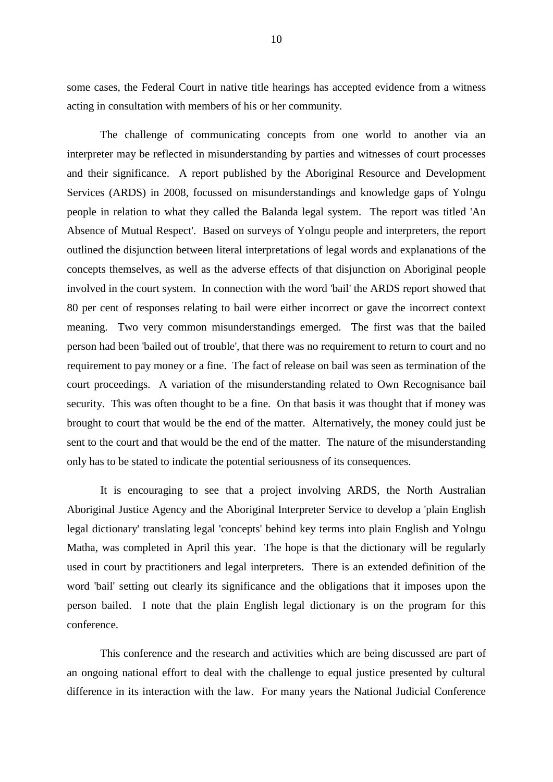some cases, the Federal Court in native title hearings has accepted evidence from a witness acting in consultation with members of his or her community.

The challenge of communicating concepts from one world to another via an interpreter may be reflected in misunderstanding by parties and witnesses of court processes and their significance. A report published by the Aboriginal Resource and Development Services (ARDS) in 2008, focussed on misunderstandings and knowledge gaps of Yolngu people in relation to what they called the Balanda legal system. The report was titled 'An Absence of Mutual Respect'. Based on surveys of Yolngu people and interpreters, the report outlined the disjunction between literal interpretations of legal words and explanations of the concepts themselves, as well as the adverse effects of that disjunction on Aboriginal people involved in the court system. In connection with the word 'bail' the ARDS report showed that 80 per cent of responses relating to bail were either incorrect or gave the incorrect context meaning. Two very common misunderstandings emerged. The first was that the bailed person had been 'bailed out of trouble', that there was no requirement to return to court and no requirement to pay money or a fine. The fact of release on bail was seen as termination of the court proceedings. A variation of the misunderstanding related to Own Recognisance bail security. This was often thought to be a fine. On that basis it was thought that if money was brought to court that would be the end of the matter. Alternatively, the money could just be sent to the court and that would be the end of the matter. The nature of the misunderstanding only has to be stated to indicate the potential seriousness of its consequences.

It is encouraging to see that a project involving ARDS, the North Australian Aboriginal Justice Agency and the Aboriginal Interpreter Service to develop a 'plain English legal dictionary' translating legal 'concepts' behind key terms into plain English and Yolngu Matha, was completed in April this year. The hope is that the dictionary will be regularly used in court by practitioners and legal interpreters. There is an extended definition of the word 'bail' setting out clearly its significance and the obligations that it imposes upon the person bailed. I note that the plain English legal dictionary is on the program for this conference.

This conference and the research and activities which are being discussed are part of an ongoing national effort to deal with the challenge to equal justice presented by cultural difference in its interaction with the law. For many years the National Judicial Conference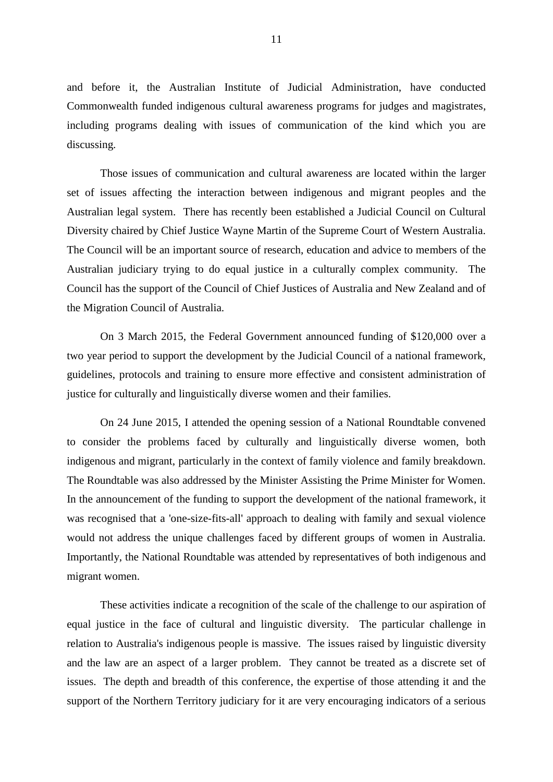and before it, the Australian Institute of Judicial Administration, have conducted Commonwealth funded indigenous cultural awareness programs for judges and magistrates, including programs dealing with issues of communication of the kind which you are discussing.

Those issues of communication and cultural awareness are located within the larger set of issues affecting the interaction between indigenous and migrant peoples and the Australian legal system. There has recently been established a Judicial Council on Cultural Diversity chaired by Chief Justice Wayne Martin of the Supreme Court of Western Australia. The Council will be an important source of research, education and advice to members of the Australian judiciary trying to do equal justice in a culturally complex community. The Council has the support of the Council of Chief Justices of Australia and New Zealand and of the Migration Council of Australia.

On 3 March 2015, the Federal Government announced funding of \$120,000 over a two year period to support the development by the Judicial Council of a national framework, guidelines, protocols and training to ensure more effective and consistent administration of justice for culturally and linguistically diverse women and their families.

On 24 June 2015, I attended the opening session of a National Roundtable convened to consider the problems faced by culturally and linguistically diverse women, both indigenous and migrant, particularly in the context of family violence and family breakdown. The Roundtable was also addressed by the Minister Assisting the Prime Minister for Women. In the announcement of the funding to support the development of the national framework, it was recognised that a 'one-size-fits-all' approach to dealing with family and sexual violence would not address the unique challenges faced by different groups of women in Australia. Importantly, the National Roundtable was attended by representatives of both indigenous and migrant women.

These activities indicate a recognition of the scale of the challenge to our aspiration of equal justice in the face of cultural and linguistic diversity. The particular challenge in relation to Australia's indigenous people is massive. The issues raised by linguistic diversity and the law are an aspect of a larger problem. They cannot be treated as a discrete set of issues. The depth and breadth of this conference, the expertise of those attending it and the support of the Northern Territory judiciary for it are very encouraging indicators of a serious